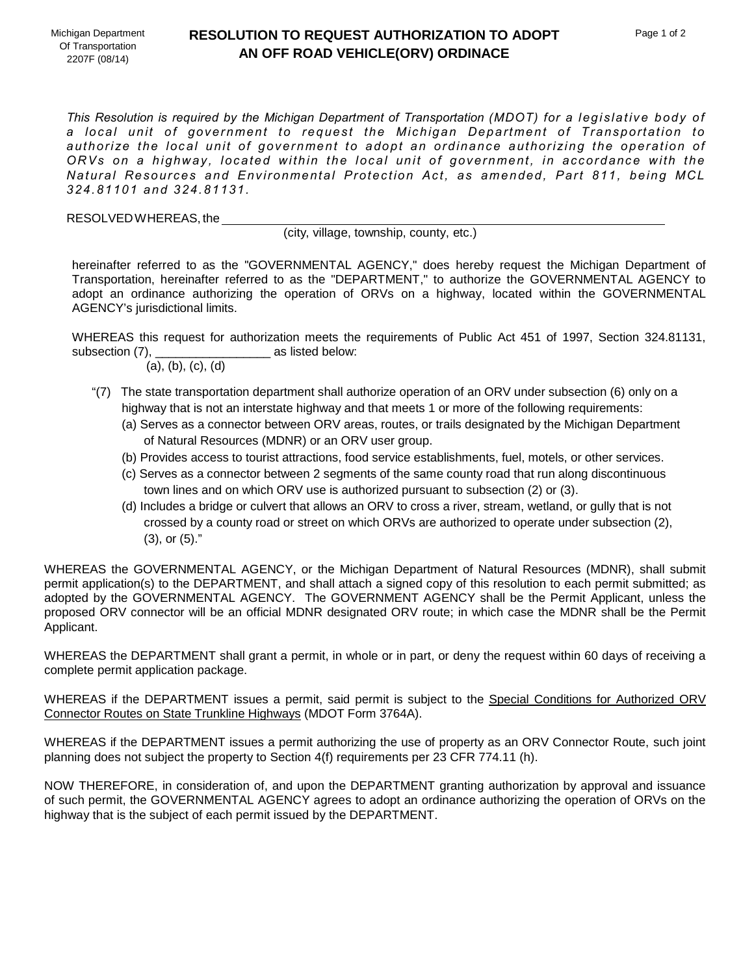## **RESOLUTION TO REQUEST AUTHORIZATION TO ADOPT AN OFF ROAD VEHICLE(ORV) ORDINACE**

*This Resolution is required by the Michigan Department of Transportation (MDOT) for a legislative body of a local unit of government to request the Michigan Department of Transportation to authorize the local unit of government to adopt an ordinance authorizing the operation of ORVs on a highway, located within the local unit of government, in accordance with the Natural Resources and Environmental Protection Act, as amended, Part 811, being MCL 324.81101 and 324.81131.*

RESOLVED WHEREAS, the

(city, village, township, county, etc.)

hereinafter referred to as the "GOVERNMENTAL AGENCY," does hereby request the Michigan Department of Transportation, hereinafter referred to as the "DEPARTMENT," to authorize the GOVERNMENTAL AGENCY to adopt an ordinance authorizing the operation of ORVs on a highway, located within the GOVERNMENTAL AGENCY's jurisdictional limits.

WHEREAS this request for authorization meets the requirements of Public Act 451 of 1997, Section 324.81131, subsection (7), as listed below:

(a), (b), (c), (d)

- "(7) The state transportation department shall authorize operation of an ORV under subsection (6) only on a highway that is not an interstate highway and that meets 1 or more of the following requirements:
	- (a) Serves as a connector between ORV areas, routes, or trails designated by the Michigan Department of Natural Resources (MDNR) or an ORV user group.
	- (b) Provides access to tourist attractions, food service establishments, fuel, motels, or other services.
	- (c) Serves as a connector between 2 segments of the same county road that run along discontinuous town lines and on which ORV use is authorized pursuant to subsection (2) or (3).
	- (d) Includes a bridge or culvert that allows an ORV to cross a river, stream, wetland, or gully that is not crossed by a county road or street on which ORVs are authorized to operate under subsection (2), (3), or (5)."

WHEREAS the GOVERNMENTAL AGENCY, or the Michigan Department of Natural Resources (MDNR), shall submit permit application(s) to the DEPARTMENT, and shall attach a signed copy of this resolution to each permit submitted; as adopted by the GOVERNMENTAL AGENCY. The GOVERNMENT AGENCY shall be the Permit Applicant, unless the proposed ORV connector will be an official MDNR designated ORV route; in which case the MDNR shall be the Permit Applicant.

WHEREAS the DEPARTMENT shall grant a permit, in whole or in part, or deny the request within 60 days of receiving a complete permit application package.

WHEREAS if the DEPARTMENT issues a permit, said permit is subject to the Special Conditions for Authorized ORV Connector Routes on State Trunkline Highways (MDOT Form 3764A).

WHEREAS if the DEPARTMENT issues a permit authorizing the use of property as an ORV Connector Route, such joint planning does not subject the property to Section 4(f) requirements per 23 CFR 774.11 (h).

NOW THEREFORE, in consideration of, and upon the DEPARTMENT granting authorization by approval and issuance of such permit, the GOVERNMENTAL AGENCY agrees to adopt an ordinance authorizing the operation of ORVs on the highway that is the subject of each permit issued by the DEPARTMENT.